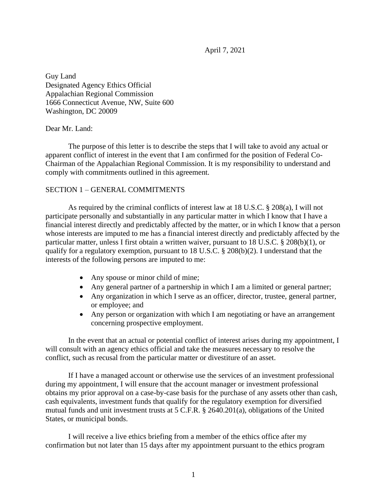April 7, 2021

Guy Land Designated Agency Ethics Official Appalachian Regional Commission 1666 Connecticut Avenue, NW, Suite 600 Washington, DC 20009

## Dear Mr. Land:

The purpose of this letter is to describe the steps that I will take to avoid any actual or apparent conflict of interest in the event that I am confirmed for the position of Federal Co-Chairman of the Appalachian Regional Commission. It is my responsibility to understand and comply with commitments outlined in this agreement.

## SECTION 1 – GENERAL COMMITMENTS

As required by the criminal conflicts of interest law at 18 U.S.C. § 208(a), I will not participate personally and substantially in any particular matter in which I know that I have a financial interest directly and predictably affected by the matter, or in which I know that a person whose interests are imputed to me has a financial interest directly and predictably affected by the particular matter, unless I first obtain a written waiver, pursuant to 18 U.S.C. § 208(b)(1), or qualify for a regulatory exemption, pursuant to 18 U.S.C. § 208(b)(2). I understand that the interests of the following persons are imputed to me:

- Any spouse or minor child of mine;
- Any general partner of a partnership in which I am a limited or general partner;
- Any organization in which I serve as an officer, director, trustee, general partner, or employee; and
- Any person or organization with which I am negotiating or have an arrangement concerning prospective employment.

In the event that an actual or potential conflict of interest arises during my appointment, I will consult with an agency ethics official and take the measures necessary to resolve the conflict, such as recusal from the particular matter or divestiture of an asset.

If I have a managed account or otherwise use the services of an investment professional during my appointment, I will ensure that the account manager or investment professional obtains my prior approval on a case-by-case basis for the purchase of any assets other than cash, cash equivalents, investment funds that qualify for the regulatory exemption for diversified mutual funds and unit investment trusts at 5 C.F.R. § 2640.201(a), obligations of the United States, or municipal bonds.

I will receive a live ethics briefing from a member of the ethics office after my confirmation but not later than 15 days after my appointment pursuant to the ethics program